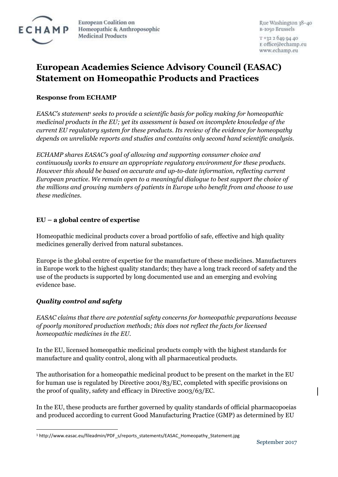

European Coalition on Homeopathic & Anthroposophic **Medicinal Products** 

Rue Washington 38-40 B-1050 Brussels

T +32 2 649 94 40 E office@echamp.eu www.echamp.eu

# **European Academies Science Advisory Council (EASAC) Statement on Homeopathic Products and Practices**

# **Response from ECHAMP**

*EASAC's statement<sup>1</sup> seeks to provide a scientific basis for policy making for homeopathic medicinal products in the EU; yet its assessment is based on incomplete knowledge of the current EU regulatory system for these products. Its review of the evidence for homeopathy depends on unreliable reports and studies and contains only second hand scientific analysis.*

*ECHAMP shares EASAC's goal of allowing and supporting consumer choice and continuously works to ensure an appropriate regulatory environment for these products. However this should be based on accurate and up-to-date information, reflecting current European practice. We remain open to a meaningful dialogue to best support the choice of the millions and growing numbers of patients in Europe who benefit from and choose to use these medicines.*

## **EU – a global centre of expertise**

Homeopathic medicinal products cover a broad portfolio of safe, effective and high quality medicines generally derived from natural substances.

Europe is the global centre of expertise for the manufacture of these medicines. Manufacturers in Europe work to the highest quality standards; they have a long track record of safety and the use of the products is supported by long documented use and an emerging and evolving evidence base.

# *Quality control and safety*

 $\overline{a}$ 

*EASAC claims that there are potential safety concerns for homeopathic preparations because of poorly monitored production methods; this does not reflect the facts for licensed homeopathic medicines in the EU.*

In the EU, licensed homeopathic medicinal products comply with the highest standards for manufacture and quality control, along with all pharmaceutical products.

The authorisation for a homeopathic medicinal product to be present on the market in the EU for human use is regulated by Directive 2001/83/EC, completed with specific provisions on the proof of quality, safety and efficacy in Directive 2003/63/EC.

In the EU, these products are further governed by quality standards of official pharmacopoeias and produced according to current Good Manufacturing Practice (GMP) as determined by EU

<sup>&</sup>lt;sup>1</sup> http://www.easac.eu/fileadmin/PDF s/reports statements/EASAC\_Homeopathy\_Statement.jpg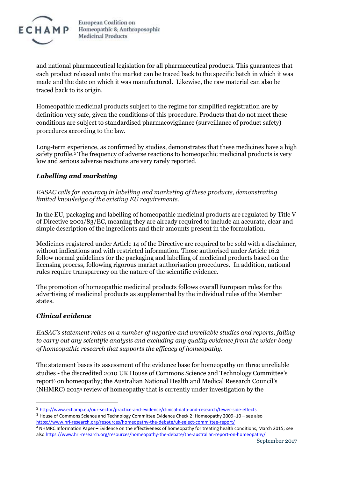

European Coalition on Homeopathic & Anthroposophic **Medicinal Products** 

and national pharmaceutical legislation for all pharmaceutical products. This guarantees that each product released onto the market can be traced back to the specific batch in which it was made and the date on which it was manufactured. Likewise, the raw material can also be traced back to its origin.

Homeopathic medicinal products subject to the regime for simplified registration are by definition very safe, given the conditions of this procedure. Products that do not meet these conditions are subject to standardised pharmacovigilance (surveillance of product safety) procedures according to the law.

Long-term experience, as confirmed by studies, demonstrates that these medicines have a high safety profile. <sup>2</sup> The frequency of adverse reactions to homeopathic medicinal products is very low and serious adverse reactions are very rarely reported.

## *Labelling and marketing*

*EASAC calls for accuracy in labelling and marketing of these products, demonstrating limited knowledge of the existing EU requirements.*

In the EU, packaging and labelling of homeopathic medicinal products are regulated by Title V of Directive 2001/83/EC, meaning they are already required to include an accurate, clear and simple description of the ingredients and their amounts present in the formulation.

Medicines registered under Article 14 of the Directive are required to be sold with a disclaimer, without indications and with restricted information. Those authorised under Article 16.2 follow normal guidelines for the packaging and labelling of medicinal products based on the licensing process, following rigorous market authorisation procedures. In addition, national rules require transparency on the nature of the scientific evidence.

The promotion of homeopathic medicinal products follows overall European rules for the advertising of medicinal products as supplemented by the individual rules of the Member states.

#### *Clinical evidence*

 $\overline{a}$ 

*EASAC's statement relies on a number of negative and unreliable studies and reports, failing to carry out any scientific analysis and excluding any quality evidence from the wider body of homeopathic research that supports the efficacy of homeopathy.* 

The statement bases its assessment of the evidence base for homeopathy on three unreliable studies - the discredited 2010 UK House of Commons Science and Technology Committee's report<sup>3</sup> on homeopathy; the Australian National Health and Medical Research Council's (NHMRC) 2015<sup>4</sup> review of homeopathy that is currently under investigation by the

<sup>2</sup> <http://www.echamp.eu/our-sector/practice-and-evidence/clinical-data-and-research/fewer-side-effects>

<sup>3</sup> House of Commons Science and Technology Committee Evidence Check 2: Homeopathy 2009–10 – see also <https://www.hri-research.org/resources/homeopathy-the-debate/uk-select-committee-report/>

<sup>4</sup> NHMRC Information Paper – Evidence on the effectiveness of homeopathy for treating health conditions, March 2015; see als[o https://www.hri-research.org/resources/homeopathy-the-debate/the-australian-report-on-homeopathy/](https://www.hri-research.org/resources/homeopathy-the-debate/the-australian-report-on-homeopathy/)